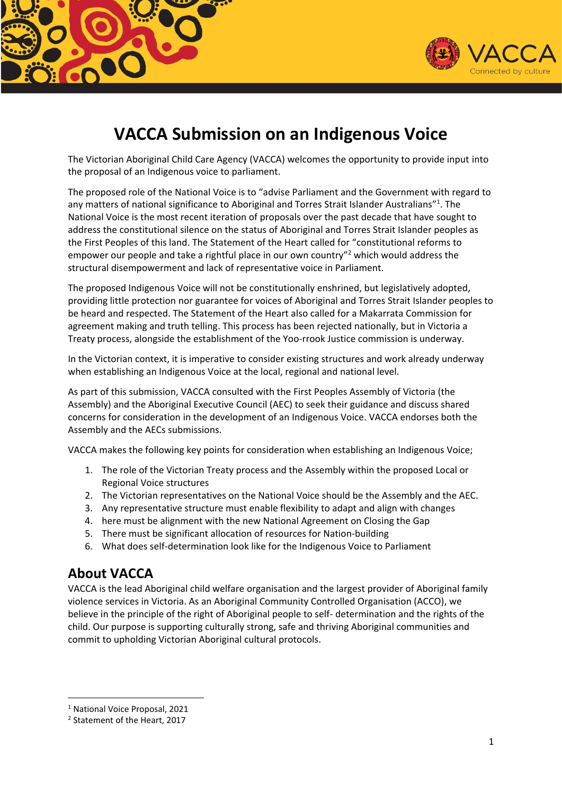



# **VACCA Submission on an Indigenous Voice**

The Victorian Aboriginal Child Care Agency (VACCA) welcomes the opportunity to provide input into the proposal of an Indigenous voice to parliament.

The proposed role of the National Voice is to "advise Parliament and the Government with regard to any matters of national significance to Aboriginal and Torres Strait Islander Australians"<sup>1</sup>. The National Voice is the most recent iteration of proposals over the past decade that have sought to address the constitutional silence on the status of Aboriginal and Torres Strait Islander peoples as the First Peoples of this land. The Statement of the Heart called for "constitutional reforms to empower our people and take a rightful place in our own country"<sup>2</sup> which would address the structural disempowerment and lack of representative voice in Parliament.

The proposed Indigenous Voice will not be constitutionally enshrined, but legislatively adopted, providing little protection nor guarantee for voices of Aboriginal and Torres Strait Islander peoples to be heard and respected. The Statement of the Heart also called for a Makarrata Commission for agreement making and truth telling. This process has been rejected nationally, but in Victoria a Treaty process, alongside the establishment of the Yoo-rrook Justice commission is underway.

In the Victorian context, it is imperative to consider existing structures and work already underway when establishing an Indigenous Voice at the local, regional and national level.

As part of this submission, VACCA consulted with the First Peoples Assembly of Victoria (the Assembly) and the Aboriginal Executive Council (AEC) to seek their guidance and discuss shared concerns for consideration in the development of an Indigenous Voice. VACCA endorses both the Assembly and the AECs submissions.

VACCA makes the following key points for consideration when establishing an Indigenous Voice;

- 1. The role of the Victorian Treaty process and the Assembly within the proposed Local or Regional Voice structures
- 2. The Victorian representatives on the National Voice should be the Assembly and the AEC.
- 3. Any representative structure must enable flexibility to adapt and align with changes
- 4. here must be alignment with the new National Agreement on Closing the Gap
- 5. There must be significant allocation of resources for Nation-building
- 6. What does self-determination look like for the Indigenous Voice to Parliament

## **About VACCA**

VACCA is the lead Aboriginal child welfare organisation and the largest provider of Aboriginal family violence services in Victoria. As an Aboriginal Community Controlled Organisation (ACCO), we believe in the principle of the right of Aboriginal people to self- determination and the rights of the child. Our purpose is supporting culturally strong, safe and thriving Aboriginal communities and commit to upholding Victorian Aboriginal cultural protocols.

<sup>1</sup> National Voice Proposal, 2021

<sup>&</sup>lt;sup>2</sup> Statement of the Heart, 2017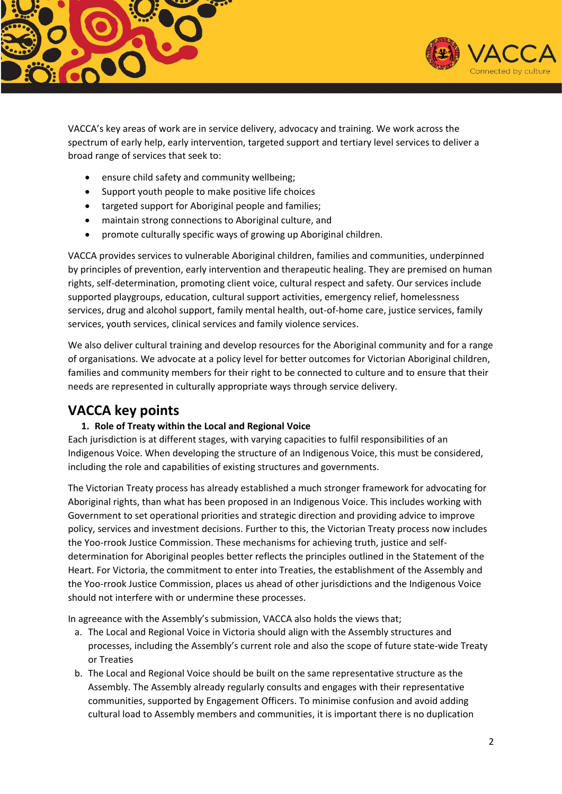



VACCA's key areas of work are in service delivery, advocacy and training. We work across the spectrum of early help, early intervention, targeted support and tertiary level services to deliver a broad range of services that seek to:

- ensure child safety and community wellbeing;
- Support youth people to make positive life choices
- targeted support for Aboriginal people and families;
- maintain strong connections to Aboriginal culture, and
- promote culturally specific ways of growing up Aboriginal children.

VACCA provides services to vulnerable Aboriginal children, families and communities, underpinned by principles of prevention, early intervention and therapeutic healing. They are premised on human rights, self-determination, promoting client voice, cultural respect and safety. Our services include supported playgroups, education, cultural support activities, emergency relief, homelessness services, drug and alcohol support, family mental health, out-of-home care, justice services, family services, youth services, clinical services and family violence services.

We also deliver cultural training and develop resources for the Aboriginal community and for a range of organisations. We advocate at a policy level for better outcomes for Victorian Aboriginal children, families and community members for their right to be connected to culture and to ensure that their needs are represented in culturally appropriate ways through service delivery.

### **VACCA key points**

#### **1. Role of Treaty within the Local and Regional Voice**

Each jurisdiction is at different stages, with varying capacities to fulfil responsibilities of an Indigenous Voice. When developing the structure of an Indigenous Voice, this must be considered, including the role and capabilities of existing structures and governments.

The Victorian Treaty process has already established a much stronger framework for advocating for Aboriginal rights, than what has been proposed in an Indigenous Voice. This includes working with Government to set operational priorities and strategic direction and providing advice to improve policy, services and investment decisions. Further to this, the Victorian Treaty process now includes the Yoo-rrook Justice Commission. These mechanisms for achieving truth, justice and selfdetermination for Aboriginal peoples better reflects the principles outlined in the Statement of the Heart. For Victoria, the commitment to enter into Treaties, the establishment of the Assembly and the Yoo-rrook Justice Commission, places us ahead of other jurisdictions and the Indigenous Voice should not interfere with or undermine these processes.

In agreeance with the Assembly's submission, VACCA also holds the views that;

- a. The Local and Regional Voice in Victoria should align with the Assembly structures and processes, including the Assembly's current role and also the scope of future state-wide Treaty or Treaties
- b. The Local and Regional Voice should be built on the same representative structure as the Assembly. The Assembly already regularly consults and engages with their representative communities, supported by Engagement Officers. To minimise confusion and avoid adding cultural load to Assembly members and communities, it is important there is no duplication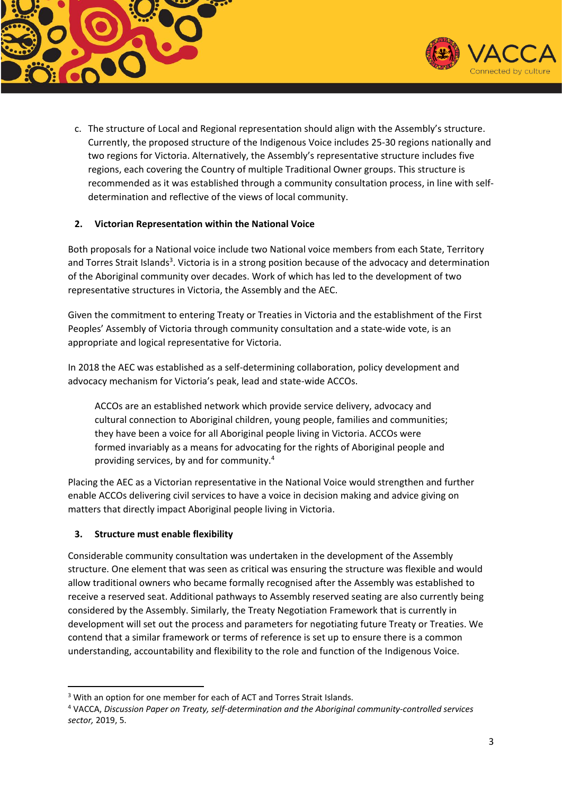



c. The structure of Local and Regional representation should align with the Assembly's structure. Currently, the proposed structure of the Indigenous Voice includes 25-30 regions nationally and two regions for Victoria. Alternatively, the Assembly's representative structure includes five regions, each covering the Country of multiple Traditional Owner groups. This structure is recommended as it was established through a community consultation process, in line with selfdetermination and reflective of the views of local community.

#### **2. Victorian Representation within the National Voice**

Both proposals for a National voice include two National voice members from each State, Territory and Torres Strait Islands<sup>3</sup>. Victoria is in a strong position because of the advocacy and determination of the Aboriginal community over decades. Work of which has led to the development of two representative structures in Victoria, the Assembly and the AEC.

Given the commitment to entering Treaty or Treaties in Victoria and the establishment of the First Peoples' Assembly of Victoria through community consultation and a state-wide vote, is an appropriate and logical representative for Victoria.

In 2018 the AEC was established as a self-determining collaboration, policy development and advocacy mechanism for Victoria's peak, lead and state-wide ACCOs.

ACCOs are an established network which provide service delivery, advocacy and cultural connection to Aboriginal children, young people, families and communities; they have been a voice for all Aboriginal people living in Victoria. ACCOs were formed invariably as a means for advocating for the rights of Aboriginal people and providing services, by and for community.<sup>4</sup>

Placing the AEC as a Victorian representative in the National Voice would strengthen and further enable ACCOs delivering civil services to have a voice in decision making and advice giving on matters that directly impact Aboriginal people living in Victoria.

#### **3. Structure must enable flexibility**

Considerable community consultation was undertaken in the development of the Assembly structure. One element that was seen as critical was ensuring the structure was flexible and would allow traditional owners who became formally recognised after the Assembly was established to receive a reserved seat. Additional pathways to Assembly reserved seating are also currently being considered by the Assembly. Similarly, the Treaty Negotiation Framework that is currently in development will set out the process and parameters for negotiating future Treaty or Treaties. We contend that a similar framework or terms of reference is set up to ensure there is a common understanding, accountability and flexibility to the role and function of the Indigenous Voice.

<sup>&</sup>lt;sup>3</sup> With an option for one member for each of ACT and Torres Strait Islands.

<sup>4</sup> VACCA, *Discussion Paper on Treaty, self-determination and the Aboriginal community-controlled services sector,* 2019, 5.